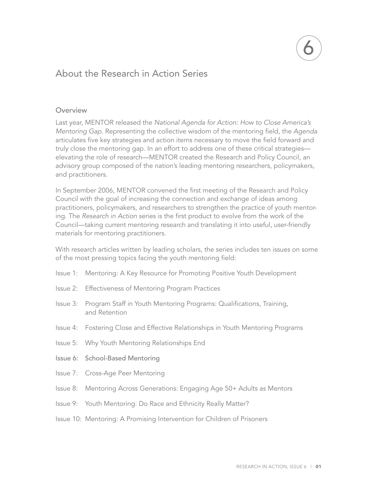## About the Research in Action Series

#### Overview

Last year, MENTOR released the *National Agenda for Action: How to Close America's Mentoring Gap*. Representing the collective wisdom of the mentoring field, the *Agenda*  articulates five key strategies and action items necessary to move the field forward and truly close the mentoring gap. In an effort to address one of these critical strategies elevating the role of research—MENTOR created the Research and Policy Council, an advisory group composed of the nation's leading mentoring researchers, policymakers, and practitioners.

In September 2006, MENTOR convened the first meeting of the Research and Policy Council with the goal of increasing the connection and exchange of ideas among practitioners, policymakers, and researchers to strengthen the practice of youth mentoring. The *Research in Action* series is the first product to evolve from the work of the Council—taking current mentoring research and translating it into useful, user-friendly materials for mentoring practitioners.

With research articles written by leading scholars, the series includes ten issues on some of the most pressing topics facing the youth mentoring field:

- Issue 1: Mentoring: A Key Resource for Promoting Positive Youth Development
- Issue 2: Effectiveness of Mentoring Program Practices
- Issue 3: Program Staff in Youth Mentoring Programs: Qualifications, Training, and Retention
- Issue 4: Fostering Close and Effective Relationships in Youth Mentoring Programs
- Issue 5: Why Youth Mentoring Relationships End
- Issue 6: School-Based Mentoring
- Issue 7: Cross-Age Peer Mentoring
- Issue 8: Mentoring Across Generations: Engaging Age 50+ Adults as Mentors
- Issue 9: Youth Mentoring: Do Race and Ethnicity Really Matter?
- Issue 10: Mentoring: A Promising Intervention for Children of Prisoners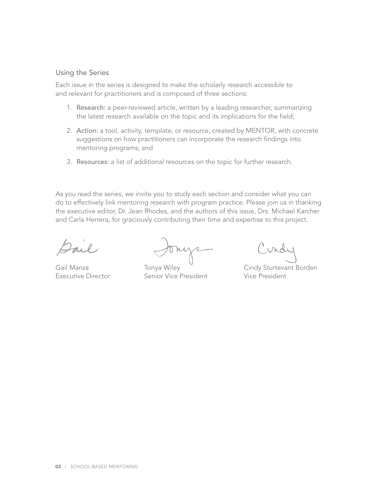### Using the Series

Each issue in the series is designed to make the scholarly research accessible to and relevant for practitioners and is composed of three sections:

- 1. Research: a peer-reviewed article, written by a leading researcher, summarizing the latest research available on the topic and its implications for the field;
- 2. Action: a tool, activity, template, or resource, created by MENTOR, with concrete suggestions on how practitioners can incorporate the research findings into mentoring programs; and
- 3. Resources: a list of additional resources on the topic for further research.

As you read the series, we invite you to study each section and consider what you can do to effectively link mentoring research with program practice. Please join us in thanking the executive editor, Dr. Jean Rhodes, and the authors of this issue, Drs. Michael Karcher and Carla Herrera, for graciously contributing their time and expertise to this project.

Executive Director Senior Vice President Vice President

inde

Gail Manza **Tonya Wiley** Cindy Sturtevant Borden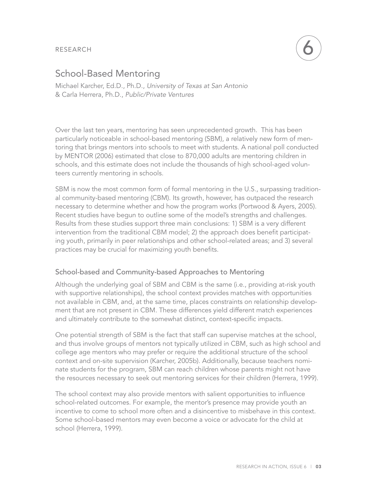RESEARCH



## School-Based Mentoring

Michael Karcher, Ed.D., Ph.D., *University of Texas at San Antonio* & Carla Herrera, Ph.D., *Public/Private Ventures*

Over the last ten years, mentoring has seen unprecedented growth. This has been particularly noticeable in school-based mentoring (SBM), a relatively new form of mentoring that brings mentors into schools to meet with students. A national poll conducted by MENTOR (2006) estimated that close to 870,000 adults are mentoring children in schools, and this estimate does not include the thousands of high school-aged volunteers currently mentoring in schools.

SBM is now the most common form of formal mentoring in the U.S., surpassing traditional community-based mentoring (CBM). Its growth, however, has outpaced the research necessary to determine whether and how the program works (Portwood & Ayers, 2005). Recent studies have begun to outline some of the model's strengths and challenges. Results from these studies support three main conclusions: 1) SBM is a very different intervention from the traditional CBM model; 2) the approach does benefit participating youth, primarily in peer relationships and other school-related areas; and 3) several practices may be crucial for maximizing youth benefits.

## School-based and Community-based Approaches to Mentoring

Although the underlying goal of SBM and CBM is the same (i.e., providing at-risk youth with supportive relationships), the school context provides matches with opportunities not available in CBM, and, at the same time, places constraints on relationship development that are not present in CBM. These differences yield different match experiences and ultimately contribute to the somewhat distinct, context-specific impacts.

One potential strength of SBM is the fact that staff can supervise matches at the school, and thus involve groups of mentors not typically utilized in CBM, such as high school and college age mentors who may prefer or require the additional structure of the school context and on-site supervision (Karcher, 2005b). Additionally, because teachers nominate students for the program, SBM can reach children whose parents might not have the resources necessary to seek out mentoring services for their children (Herrera, 1999).

The school context may also provide mentors with salient opportunities to influence school-related outcomes. For example, the mentor's presence may provide youth an incentive to come to school more often and a disincentive to misbehave in this context. Some school-based mentors may even become a voice or advocate for the child at school (Herrera, 1999).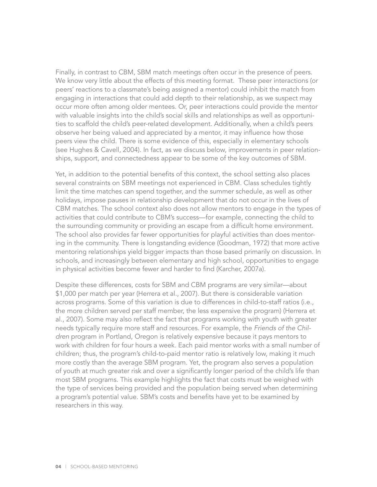Finally, in contrast to CBM, SBM match meetings often occur in the presence of peers. We know very little about the effects of this meeting format. These peer interactions (or peers' reactions to a classmate's being assigned a mentor) could inhibit the match from engaging in interactions that could add depth to their relationship, as we suspect may occur more often among older mentees. Or, peer interactions could provide the mentor with valuable insights into the child's social skills and relationships as well as opportunities to scaffold the child's peer-related development. Additionally, when a child's peers observe her being valued and appreciated by a mentor, it may influence how those peers view the child. There is some evidence of this, especially in elementary schools (see Hughes & Cavell, 2004). In fact, as we discuss below, improvements in peer relationships, support, and connectedness appear to be some of the key outcomes of SBM.

Yet, in addition to the potential benefits of this context, the school setting also places several constraints on SBM meetings not experienced in CBM. Class schedules tightly limit the time matches can spend together, and the summer schedule, as well as other holidays, impose pauses in relationship development that do not occur in the lives of CBM matches. The school context also does not allow mentors to engage in the types of activities that could contribute to CBM's success—for example, connecting the child to the surrounding community or providing an escape from a difficult home environment. The school also provides far fewer opportunities for playful activities than does mentoring in the community. There is longstanding evidence (Goodman, 1972) that more active mentoring relationships yield bigger impacts than those based primarily on discussion. In schools, and increasingly between elementary and high school, opportunities to engage in physical activities become fewer and harder to find (Karcher, 2007a).

Despite these differences, costs for SBM and CBM programs are very similar—about \$1,000 per match per year (Herrera et al., 2007). But there is considerable variation across programs. Some of this variation is due to differences in child-to-staff ratios (i.e., the more children served per staff member, the less expensive the program) (Herrera et al., 2007). Some may also reflect the fact that programs working with youth with greater needs typically require more staff and resources. For example, the *Friends of the Children* program in Portland, Oregon is relatively expensive because it pays mentors to work with children for four hours a week. Each paid mentor works with a small number of children; thus, the program's child-to-paid mentor ratio is relatively low, making it much more costly than the average SBM program. Yet, the program also serves a population of youth at much greater risk and over a significantly longer period of the child's life than most SBM programs. This example highlights the fact that costs must be weighed with the type of services being provided and the population being served when determining a program's potential value. SBM's costs and benefits have yet to be examined by researchers in this way.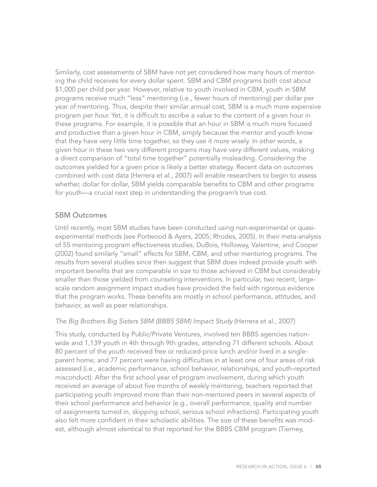Similarly, cost assessments of SBM have not yet considered how many hours of mentoring the child receives for every dollar spent. SBM and CBM programs both cost about \$1,000 per child per year. However, relative to youth involved in CBM, youth in SBM programs receive much "less" mentoring (i.e., fewer hours of mentoring) per dollar per year of mentoring. Thus, despite their similar annual cost, SBM is a much more expensive program *per hour.* Yet, it is difficult to ascribe a value to the content of a given hour in these programs. For example, it is possible that an hour in SBM is much more focused and productive than a given hour in CBM, simply because the mentor and youth know that they have very little time together, so they use it more wisely. In other words, a given hour in these two very different programs may have very different values, making a direct comparison of "total time together" potentially misleading. Considering the outcomes yielded for a given price is likely a better strategy. Recent data on outcomes combined with cost data (Herrera et al., 2007) will enable researchers to begin to assess whether, dollar for dollar, SBM yields comparable benefits to CBM and other programs for youth—a crucial next step in understanding the program's true cost.

## SBM Outcomes

Until recently, most SBM studies have been conducted using non-experimental or quasiexperimental methods (see Portwood & Ayers, 2005; Rhodes, 2005). In their meta-analysis of 55 mentoring program effectiveness studies, DuBois, Holloway, Valentine, and Cooper (2002) found similarly "small" effects for SBM, CBM, and other mentoring programs. The results from several studies since then suggest that SBM does indeed provide youth with important benefits that are comparable in size to those achieved in CBM but considerably smaller than those yielded from counseling interventions. In particular, two recent, largescale random assignment impact studies have provided the field with rigorous evidence that the program works. These benefits are mostly in school performance, attitudes, and behavior, as well as peer relationships.

## *The Big Brothers Big Sisters SBM (BBBS SBM) Impact Study* (Herrera et al., 2007)

This study, conducted by Public/Private Ventures, involved ten BBBS agencies nationwide and 1,139 youth in 4th through 9th grades, attending 71 different schools. About 80 percent of the youth received free or reduced-price lunch and/or lived in a singleparent home; and 77 percent were having difficulties in at least one of four areas of risk assessed (i.e., academic performance, school behavior, relationships, and youth-reported misconduct). After the first school year of program involvement, during which youth received an average of about five months of weekly mentoring, teachers reported that participating youth improved more than their non-mentored peers in several aspects of their school performance and behavior (e.g., overall performance, quality and number of assignments turned in, skipping school, serious school infractions). Participating youth also felt more confident in their scholastic abilities. The size of these benefits was modest, although almost identical to that reported for the BBBS CBM program (Tierney,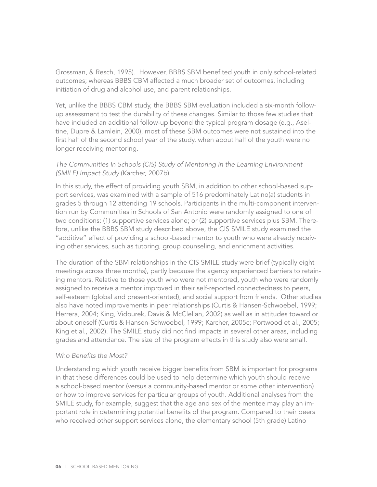Grossman, & Resch, 1995). However, BBBS SBM benefited youth in only school-related outcomes; whereas BBBS CBM affected a much broader set of outcomes, including initiation of drug and alcohol use, and parent relationships.

Yet, unlike the BBBS CBM study, the BBBS SBM evaluation included a six-month followup assessment to test the durability of these changes. Similar to those few studies that have included an additional follow-up beyond the typical program dosage (e.g., Aseltine, Dupre & Lamlein, 2000), most of these SBM outcomes were not sustained into the first half of the second school year of the study, when about half of the youth were no longer receiving mentoring.

#### *The Communities In Schools (CIS) Study of Mentoring In the Learning Environment (SMILE) Impact Study* (Karcher, 2007b)

In this study, the effect of providing youth SBM, in addition to other school-based support services, was examined with a sample of 516 predominately Latino(a) students in grades 5 through 12 attending 19 schools. Participants in the multi-component intervention run by Communities in Schools of San Antonio were randomly assigned to one of two conditions: (1) supportive services alone; or (2) supportive services plus SBM. Therefore, unlike the BBBS SBM study described above, the CIS SMILE study examined the "additive" effect of providing a school-based mentor to youth who were already receiving other services, such as tutoring, group counseling, and enrichment activities.

The duration of the SBM relationships in the CIS SMILE study were brief (typically eight meetings across three months), partly because the agency experienced barriers to retaining mentors. Relative to those youth who were not mentored, youth who were randomly assigned to receive a mentor improved in their self-reported connectedness to peers, self-esteem (global and present-oriented), and social support from friends. Other studies also have noted improvements in peer relationships (Curtis & Hansen-Schwoebel, 1999; Herrera, 2004; King, Vidourek, Davis & McClellan, 2002) as well as in attitudes toward or about oneself (Curtis & Hansen-Schwoebel, 1999; Karcher, 2005c; Portwood et al., 2005; King et al., 2002). The SMILE study did not find impacts in several other areas, including grades and attendance. The size of the program effects in this study also were small.

#### *Who Benefits the Most?*

Understanding which youth receive bigger benefits from SBM is important for programs in that these differences could be used to help determine which youth should receive a school-based mentor (versus a community-based mentor or some other intervention) or how to improve services for particular groups of youth. Additional analyses from the SMILE study, for example, suggest that the age and sex of the mentee may play an important role in determining potential benefits of the program. Compared to their peers who received other support services alone, the elementary school (5th grade) Latino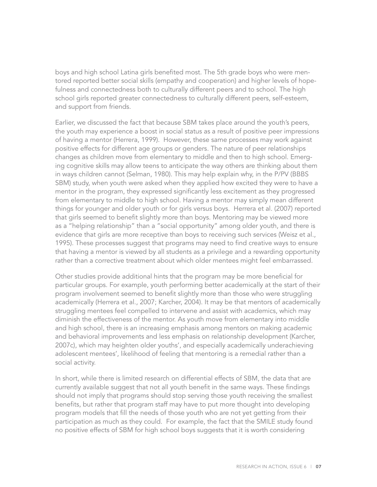boys and high school Latina girls benefited most. The 5th grade boys who were mentored reported better social skills (empathy and cooperation) and higher levels of hopefulness and connectedness both to culturally different peers and to school. The high school girls reported greater connectedness to culturally different peers, self-esteem, and support from friends.

Earlier, we discussed the fact that because SBM takes place around the youth's peers, the youth may experience a boost in social status as a result of positive peer impressions of having a mentor (Herrera, 1999). However, these same processes may work against positive effects for different age groups or genders. The nature of peer relationships changes as children move from elementary to middle and then to high school. Emerging cognitive skills may allow teens to anticipate the way others are thinking about them in ways children cannot (Selman, 1980). This may help explain why, in the P/PV (BBBS SBM) study, when youth were asked when they applied how excited they were to have a mentor in the program, they expressed significantly less excitement as they progressed from elementary to middle to high school. Having a mentor may simply mean different things for younger and older youth or for girls versus boys. Herrera et al. (2007) reported that girls seemed to benefit slightly more than boys. Mentoring may be viewed more as a "helping relationship" than a "social opportunity" among older youth, and there is evidence that girls are more receptive than boys to receiving such services (Weisz et al., 1995). These processes suggest that programs may need to find creative ways to ensure that having a mentor is viewed by all students as a privilege and a rewarding opportunity rather than a corrective treatment about which older mentees might feel embarrassed.

Other studies provide additional hints that the program may be more beneficial for particular groups. For example, youth performing better academically at the start of their program involvement seemed to benefit slightly more than those who were struggling academically (Herrera et al., 2007; Karcher, 2004). It may be that mentors of academically struggling mentees feel compelled to intervene and assist with academics, which may diminish the effectiveness of the mentor. As youth move from elementary into middle and high school, there is an increasing emphasis among mentors on making academic and behavioral improvements and less emphasis on relationship development (Karcher, 2007c), which may heighten older youths', and especially academically underachieving adolescent mentees', likelihood of feeling that mentoring is a remedial rather than a social activity.

In short, while there is limited research on differential effects of SBM, the data that are currently available suggest that not all youth benefit in the same ways. These findings should not imply that programs should stop serving those youth receiving the smallest benefits, but rather that program staff may have to put more thought into developing program models that fill the needs of those youth who are not yet getting from their participation as much as they could. For example, the fact that the SMILE study found no positive effects of SBM for high school boys suggests that it is worth considering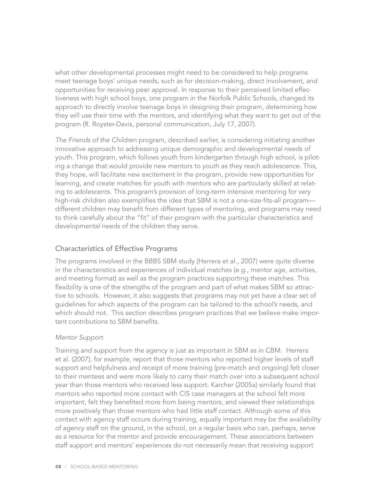what other developmental processes might need to be considered to help programs meet teenage boys' unique needs, such as for decision-making, direct involvement, and opportunities for receiving peer approval. In response to their perceived limited effectiveness with high school boys, one program in the Norfolk Public Schools, changed its approach to directly involve teenage boys in designing their program, determining how they will use their time with the mentors, and identifying what they want to get out of the program (R. Royster-Davis, personal communication, July 17, 2007).

*The Friends of the Children* program, described earlier, is considering initiating another innovative approach to addressing unique demographic and developmental needs of youth. This program, which follows youth from kindergarten through high school, is piloting a change that would provide new mentors to youth as they reach adolescence. This, they hope, will facilitate new excitement in the program, provide new opportunities for learning, and create matches for youth with mentors who are particularly skilled at relating to adolescents. This program's provision of long-term intensive mentoring for very high-risk children also exemplifies the idea that SBM is not a one-size-fits-all program different children may benefit from different types of mentoring, and programs may need to think carefully about the "fit" of their program with the particular characteristics and developmental needs of the children they serve.

## Characteristics of Effective Programs

The programs involved in the BBBS SBM study (Herrera et al., 2007) were quite diverse in the characteristics and experiences of individual matches (e.g., mentor age, activities, and meeting format) as well as the program practices supporting these matches. This flexibility is one of the strengths of the program and part of what makes SBM so attractive to schools. However, it also suggests that programs may not yet have a clear set of guidelines for which aspects of the program can be tailored to the school's needs, and which should not. This section describes program practices that we believe make important contributions to SBM benefits.

## *Mentor Support*

Training and support from the agency is just as important in SBM as in CBM. Herrera et al. (2007), for example, report that those mentors who reported higher levels of staff support and helpfulness and receipt of more training (pre-match and ongoing) felt closer to their mentees and were more likely to carry their match over into a subsequent school year than those mentors who received less support. Karcher (2005a) similarly found that mentors who reported more contact with CIS case managers at the school felt more important, felt they benefited more from being mentors, and viewed their relationships more positively than those mentors who had little staff contact. Although some of this contact with agency staff occurs during training, equally important may be the availability of agency staff on the ground, in the school, on a regular basis who can, perhaps, serve as a resource for the mentor and provide encouragement. These associations between staff support and mentors' experiences do not necessarily mean that receiving support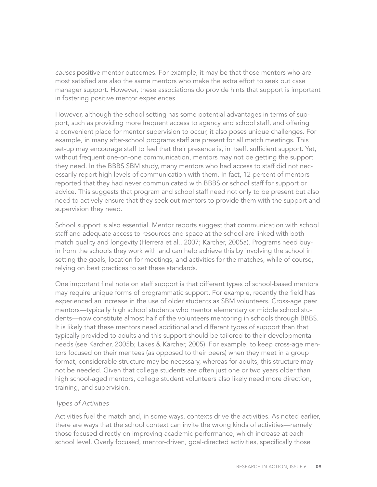*causes* positive mentor outcomes. For example, it may be that those mentors who are most satisfied are also the same mentors who make the extra effort to seek out case manager support. However, these associations do provide hints that support is important in fostering positive mentor experiences.

However, although the school setting has some potential advantages in terms of support, such as providing more frequent access to agency and school staff, and offering a convenient place for mentor supervision to occur, it also poses unique challenges. For example, in many after-school programs staff are present for all match meetings. This set-up may encourage staff to feel that their presence is, in itself, sufficient support. Yet, without frequent one-on-one communication, mentors may not be getting the support they need. In the BBBS SBM study, many mentors who had access to staff did not necessarily report high levels of communication with them. In fact, 12 percent of mentors reported that they had never communicated with BBBS or school staff for support or advice. This suggests that program and school staff need not only to be present but also need to actively ensure that they seek out mentors to provide them with the support and supervision they need.

School support is also essential. Mentor reports suggest that communication with school staff and adequate access to resources and space at the school are linked with both match quality and longevity (Herrera et al., 2007; Karcher, 2005a). Programs need buyin from the schools they work with and can help achieve this by involving the school in setting the goals, location for meetings, and activities for the matches, while of course, relying on best practices to set these standards.

One important final note on staff support is that different types of school-based mentors may require unique forms of programmatic support. For example, recently the field has experienced an increase in the use of older students as SBM volunteers. Cross-age peer mentors—typically high school students who mentor elementary or middle school students—now constitute almost half of the volunteers mentoring in schools through BBBS. It is likely that these mentors need additional and different types of support than that typically provided to adults and this support should be tailored to their developmental needs (see Karcher, 2005b; Lakes & Karcher, 2005). For example, to keep cross-age mentors focused on their mentees (as opposed to their peers) when they meet in a group format, considerable structure may be necessary, whereas for adults, this structure may not be needed. Given that college students are often just one or two years older than high school-aged mentors, college student volunteers also likely need more direction, training, and supervision.

#### *Types of Activities*

Activities fuel the match and, in some ways, contexts drive the activities. As noted earlier, there are ways that the school context can invite the wrong kinds of activities—namely those focused directly on improving academic performance, which increase at each school level. Overly focused, mentor-driven, goal-directed activities, specifically those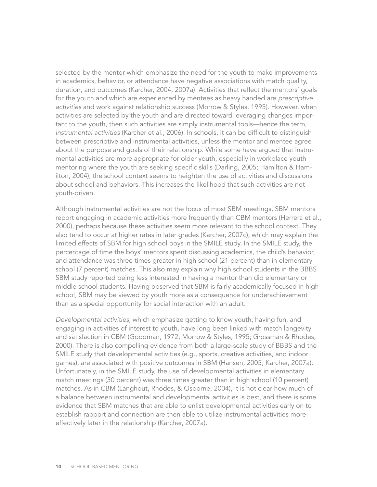selected by the mentor which emphasize the need for the youth to make improvements in academics, behavior, or attendance have negative associations with match quality, duration, and outcomes (Karcher, 2004, 2007a). Activities that reflect the mentors' goals for the youth and which are experienced by mentees as heavy handed are *prescriptive activities* and work against relationship success (Morrow & Styles, 1995). However, when activities are selected by the youth and are directed toward leveraging changes important to the youth, then such activities are simply instrumental tools—hence the term, *instrumental activities* (Karcher et al., 2006). In schools, it can be difficult to distinguish between prescriptive and instrumental activities, unless the mentor and mentee agree about the purpose and goals of their relationship. While some have argued that instrumental activities are more appropriate for older youth, especially in workplace youth mentoring where the youth are seeking specific skills (Darling, 2005; Hamilton & Hamilton, 2004), the school context seems to heighten the use of activities and discussions about school and behaviors. This increases the likelihood that such activities are not youth-driven.

Although instrumental activities are not the focus of most SBM meetings, SBM mentors report engaging in academic activities more frequently than CBM mentors (Herrera et al., 2000), perhaps because these activities seem more relevant to the school context. They also tend to occur at higher rates in later grades (Karcher, 2007c), which may explain the limited effects of SBM for high school boys in the SMILE study. In the SMILE study, the percentage of time the boys' mentors spent discussing academics, the child's behavior, and attendance was three times greater in high school (21 percent) than in elementary school (7 percent) matches. This also may explain why high school students in the BBBS SBM study reported being less interested in having a mentor than did elementary or middle school students. Having observed that SBM is fairly academically focused in high school, SBM may be viewed by youth more as a consequence for underachievement than as a special opportunity for social interaction with an adult.

*Developmental activities*, which emphasize getting to know youth, having fun, and engaging in activities of interest to youth, have long been linked with match longevity and satisfaction in CBM (Goodman, 1972; Morrow & Styles, 1995; Grossman & Rhodes, 2000). There is also compelling evidence from both a large-scale study of BBBS and the SMILE study that developmental activities (e.g., sports, creative activities, and indoor games), are associated with positive outcomes in SBM (Hansen, 2005; Karcher, 2007a). Unfortunately, in the SMILE study, the use of developmental activities in elementary match meetings (30 percent) was three times greater than in high school (10 percent) matches. As in CBM (Langhout, Rhodes, & Osborne, 2004), it is not clear how much of a balance between instrumental and developmental activities is best, and there is some evidence that SBM matches that are able to enlist developmental activities early on to establish rapport and connection are then able to utilize instrumental activities more effectively later in the relationship (Karcher, 2007a).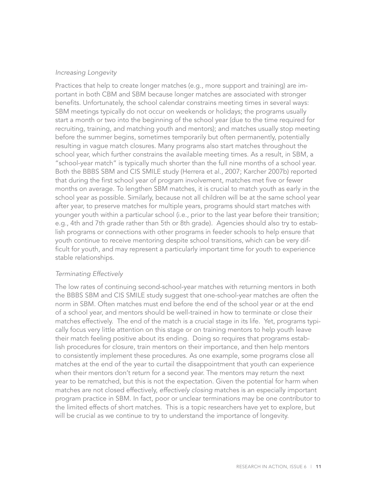#### *Increasing Longevity*

Practices that help to create longer matches (e.g., more support and training) are important in both CBM and SBM because longer matches are associated with stronger benefits. Unfortunately, the school calendar constrains meeting times in several ways: SBM meetings typically do not occur on weekends or holidays; the programs usually start a month or two into the beginning of the school year (due to the time required for recruiting, training, and matching youth and mentors); and matches usually stop meeting before the summer begins, sometimes temporarily but often permanently, potentially resulting in vague match closures. Many programs also start matches throughout the school year, which further constrains the available meeting times. As a result, in SBM, a "school-year match" is typically much shorter than the full nine months of a school year. Both the BBBS SBM and CIS SMILE study (Herrera et al., 2007; Karcher 2007b) reported that during the first school year of program involvement, matches met five or fewer months on average. To lengthen SBM matches, it is crucial to match youth as early in the school year as possible. Similarly, because not all children will be at the same school year after year, to preserve matches for multiple years, programs should start matches with younger youth within a particular school (i.e., prior to the last year before their transition; e.g., 4th and 7th grade rather than 5th or 8th grade). Agencies should also try to establish programs or connections with other programs in feeder schools to help ensure that youth continue to receive mentoring despite school transitions, which can be very difficult for youth, and may represent a particularly important time for youth to experience stable relationships.

#### *Terminating Effectively*

The low rates of continuing second-school-year matches with returning mentors in both the BBBS SBM and CIS SMILE study suggest that one-school-year matches are often the norm in SBM. Often matches must end before the end of the school year or at the end of a school year, and mentors should be well-trained in how to terminate or close their matches effectively. The end of the match is a crucial stage in its life. Yet, programs typically focus very little attention on this stage or on training mentors to help youth leave their match feeling positive about its ending. Doing so requires that programs establish procedures for closure, train mentors on their importance, and then help mentors to consistently implement these procedures. As one example, some programs close all matches at the end of the year to curtail the disappointment that youth can experience when their mentors don't return for a second year. The mentors may return the next year to be rematched, but this is not the expectation. Given the potential for harm when matches are not closed effectively, *effectively closing* matches is an especially important program practice in SBM. In fact, poor or unclear terminations may be one contributor to the limited effects of short matches. This is a topic researchers have yet to explore, but will be crucial as we continue to try to understand the importance of longevity.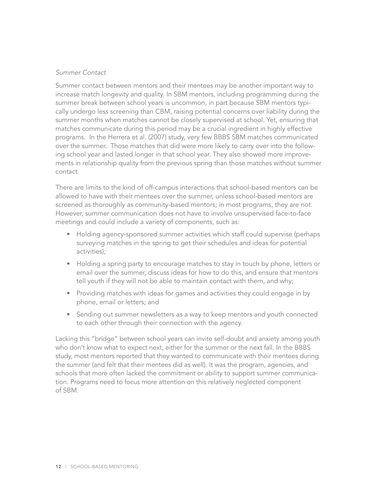### *Summer Contact*

Summer contact between mentors and their mentees may be another important way to increase match longevity and quality. In SBM mentors, including programming during the summer break between school years is uncommon, in part because SBM mentors typically undergo less screening than CBM, raising potential concerns over liability during the summer months when matches cannot be closely supervised at school. Yet, ensuring that matches communicate during this period may be a crucial ingredient in highly effective programs. In the Herrera et al. (2007) study, very few BBBS SBM matches communicated over the summer. Those matches that did were more likely to carry over into the following school year and lasted longer in that school year. They also showed more improvements in relationship quality from the previous spring than those matches without summer contact.

There are limits to the kind of off-campus interactions that school-based mentors can be allowed to have with their mentees over the summer, unless school-based mentors are screened as thoroughly as community-based mentors; in most programs, they are not. However, summer communication does not have to involve unsupervised face-to-face meetings and could include a variety of components, such as:

- Holding agency-sponsored summer activities which staff could supervise (perhaps surveying matches in the spring to get their schedules and ideas for potential activities);
- Holding a spring party to encourage matches to stay in touch by phone, letters or email over the summer, discuss ideas for how to do this, and ensure that mentors tell youth if they will not be able to maintain contact with them, and why;
- Providing matches with ideas for games and activities they could engage in by phone, email or letters; and
- Sending out summer newsletters as a way to keep mentors and youth connected to each other through their connection with the agency.

Lacking this "bridge" between school years can invite self-doubt and anxiety among youth who don't know what to expect next, either for the summer or the next fall. In the BBBS study, most mentors reported that they wanted to communicate with their mentees during the summer (and felt that their mentees did as well). It was the program, agencies, and schools that more often lacked the commitment or ability to support summer communication. Programs need to focus more attention on this relatively neglected component of SBM.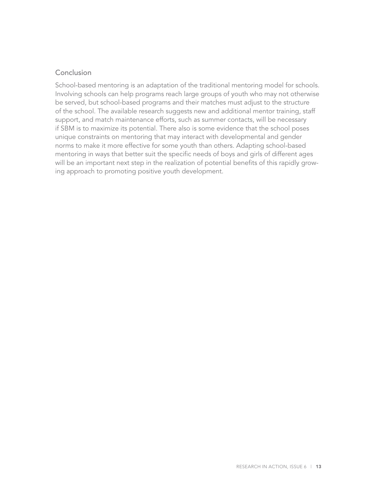## Conclusion

School-based mentoring is an adaptation of the traditional mentoring model for schools. Involving schools can help programs reach large groups of youth who may not otherwise be served, but school-based programs and their matches must adjust to the structure of the school. The available research suggests new and additional mentor training, staff support, and match maintenance efforts, such as summer contacts, will be necessary if SBM is to maximize its potential. There also is some evidence that the school poses unique constraints on mentoring that may interact with developmental and gender norms to make it more effective for some youth than others. Adapting school-based mentoring in ways that better suit the specific needs of boys and girls of different ages will be an important next step in the realization of potential benefits of this rapidly growing approach to promoting positive youth development.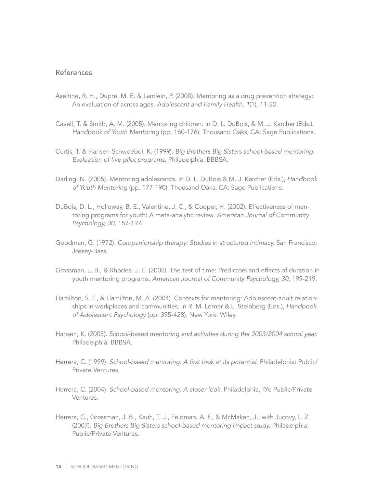#### References

- Aseltine, R. H., Dupre, M. E. & Lamlein, P. (2000). Mentoring as a drug prevention strategy: An evaluation of across ages. *Adolescent and Family Health, 1*(1), 11-20.
- Cavell, T. & Smith, A. M. (2005). Mentoring children. In D. L. DuBois, & M. J. Karcher (Eds.), *Handbook of Youth Mentoring* (pp. 160-176). Thousand Oaks, CA: Sage Publications.
- Curtis, T. & Hansen-Schwoebel, K. (1999). *Big Brothers Big Sisters school-based mentoring: Evaluation of five pilot programs*. Philadelphia: BBBSA.
- Darling, N. (2005). Mentoring adolescents. In D. L. DuBois & M. J. Karcher (Eds.), *Handbook of Youth Mentoring* (pp. 177-190). Thousand Oaks, CA: Sage Publications.
- DuBois, D. L., Holloway, B. E., Valentine, J. C., & Cooper, H. (2002). Effectiveness of mentoring programs for youth: A meta-analytic review. *American Journal of Community Psychology, 30*, 157-197.
- Goodman, G. (1972). *Companionship therapy: Studies in structured intimacy.* San Francisco: Jossey-Bass.
- Grossman, J. B., & Rhodes, J. E. (2002). The test of time: Predictors and effects of duration in youth mentoring programs. *American Journal of Community Psychology, 30*, 199-219.
- Hamilton, S. F., & Hamilton, M. A. (2004). Contexts for mentoring: Adolescent-adult relationships in workplaces and communities. In R. M. Lerner & L. Steinberg (Eds.), *Handbook of Adolescent Psychology* (pp. 395-428). New York: Wiley.
- Hansen, K. (2005). *School-based mentoring and activities during the 2003/2004 school year.*  Philadelphia: BBBSA.
- Herrera, C. (1999). *School-based mentoring: A first look at its potential.* Philadelphia: Public/ Private Ventures.
- Herrera, C. (2004). *School-based mentoring: A closer look.* Philadelphia, PA: Public/Private Ventures.
- Herrera, C., Grossman, J. B., Kauh, T. J., Feldman, A. F., & McMaken, J., with Jucovy, L. Z. (2007). *Big Brothers Big Sisters school-based mentoring impact study.* Philadelphia: Public/Private Ventures.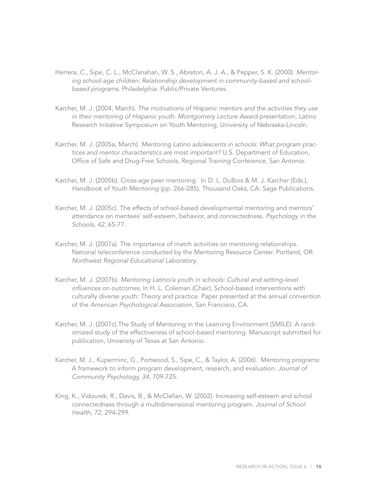- Herrera, C., Sipe, C. L., McClanahan, W. S., Abreton, A. J. A., & Pepper, S. K. (2000). *Mentoring school-age children: Relationship development in community-based and schoolbased programs.* Philadelphia: Public/Private Ventures.
- Karcher, M. J. (2004, March). *The motivations of Hispanic mentors and the activities they use in their mentoring of Hispanic youth. Montgomery Lecture Award* presentation, Latino Research Initiative Symposium on Youth Mentoring, University of Nebraska-Lincoln.
- Karcher, M. J. (2005a, March). *Mentoring Latino adolescents in schools: What program practices and mentor characteristics are most important?* U.S. Department of Education, Office of Safe and Drug-Free Schools, Regional Training Conference, San Antonio.
- Karcher, M. J. (2005b). Cross-age peer mentoring. In D. L. DuBois & M. J. Karcher (Eds.), *Handbook of Youth Mentoring* (pp. 266-285). Thousand Oaks, CA: Sage Publications.
- Karcher, M. J. (2005c). The effects of school-based developmental mentoring and mentors' attendance on mentees' self-esteem, behavior, and connectedness. *Psychology in the Schools, 42*, 65-77.
- Karcher, M. J. (2007a). The importance of match activities on mentoring relationships. National teleconference conducted by the Mentoring Resource Center. Portland, OR: *Northwest Regional Educational Laboratory.*
- Karcher, M. J. (2007b). *Mentoring Latino/a youth in schools: Cultural and setting-level influences on outcomes.* In H. L. Coleman (Chair), School-based interventions with culturally diverse youth: Theory and practice. Paper presented at the annual convention of the *American Psychological Association*, San Francisco, CA.
- Karcher, M. J. (2007c).The Study of Mentoring in the Learning Environment (SMILE): A randomized study of the effectiveness of school-based mentoring. Manuscript submitted for publication, University of Texas at San Antonio.
- Karcher, M. J., Kuperminc, G., Portwood, S., Sipe, C., & Taylor, A. (2006). Mentoring programs: A framework to inform program development, research, and evaluation. *Journal of Community Psychology, 34*, 709-725.
- King, K., Vidourek, R., Davis, B., & McClellan, W. (2002). Increasing self-esteem and school connectedness through a multidimensional mentoring program. *Journal of School Health, 72*, 294-299.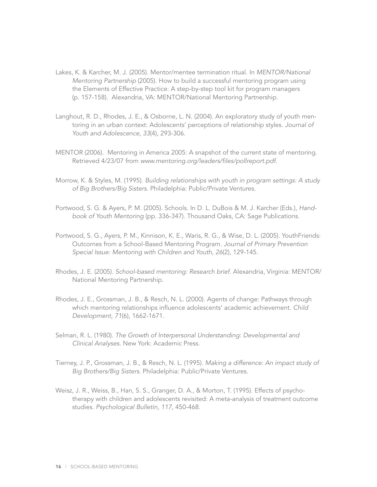- Lakes, K. & Karcher, M. J. (2005). Mentor/mentee termination ritual. In *MENTOR/National Mentoring Partnership* (2005). How to build a successful mentoring program using the Elements of Effective Practice: A step-by-step tool kit for program managers (p. 157-158). Alexandria, VA: MENTOR/National Mentoring Partnership.
- Langhout, R. D., Rhodes, J. E., & Osborne, L. N. (2004). An exploratory study of youth mentoring in an urban context: Adolescents' perceptions of relationship styles. *Journal of Youth and Adolescence, 33*(4), 293-306.
- MENTOR (2006). Mentoring in America 2005: A snapshot of the current state of mentoring. Retrieved 4/23/07 from *www.mentoring.org/leaders/files/pollreport.pdf.*
- Morrow, K. & Styles, M. (1995). *Building relationships with youth in program settings: A study of Big Brothers/Big Sisters.* Philadelphia: Public/Private Ventures.
- Portwood, S. G. & Ayers, P. M. (2005). Schools. In D. L. DuBois & M. J. Karcher (Eds.), *Handbook of Youth Mentoring* (pp. 336-347). Thousand Oaks, CA: Sage Publications.
- Portwood, S. G., Ayers, P. M., Kinnison, K. E., Waris, R. G., & Wise, D. L. (2005). YouthFriends: Outcomes from a School-Based Mentoring Program. *Journal of Primary Prevention Special Issue: Mentoring with Children and Youth, 26*(2), 129-145.
- Rhodes, J. E. (2005). *School-based mentoring: Research brief.* Alexandria, Virginia: MENTOR/ National Mentoring Partnership.
- Rhodes, J. E., Grossman, J. B., & Resch, N. L. (2000). Agents of change: Pathways through which mentoring relationships influence adolescents' academic achievement. *Child Development, 71*(6), 1662-1671.
- Selman, R. L. (1980). *The Growth of Interpersonal Understanding: Developmental and Clinical Analyses.* New York: Academic Press.
- Tierney, J. P., Grossman, J. B., & Resch, N. L. (1995). *Making a difference: An impact study of Big Brothers/Big Sisters*. Philadelphia: Public/Private Ventures.
- Weisz, J. R., Weiss, B., Han, S. S., Granger, D. A., & Morton, T. (1995). Effects of psychotherapy with children and adolescents revisited: A meta-analysis of treatment outcome studies. *Psychological Bulletin, 117*, 450-468.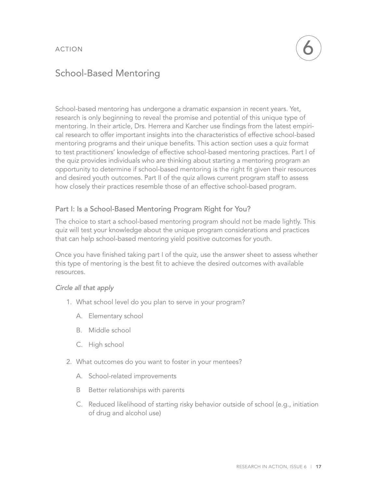# School-Based Mentoring

School-based mentoring has undergone a dramatic expansion in recent years. Yet, research is only beginning to reveal the promise and potential of this unique type of mentoring. In their article, Drs. Herrera and Karcher use findings from the latest empirical research to offer important insights into the characteristics of effective school-based mentoring programs and their unique benefits. This action section uses a quiz format to test practitioners' knowledge of effective school-based mentoring practices. Part I of the quiz provides individuals who are thinking about starting a mentoring program an opportunity to determine if school-based mentoring is the right fit given their resources and desired youth outcomes. Part II of the quiz allows current program staff to assess how closely their practices resemble those of an effective school-based program.

## Part I: Is a School-Based Mentoring Program Right for You?

The choice to start a school-based mentoring program should not be made lightly. This quiz will test your knowledge about the unique program considerations and practices that can help school-based mentoring yield positive outcomes for youth.

Once you have finished taking part I of the quiz, use the answer sheet to assess whether this type of mentoring is the best fit to achieve the desired outcomes with available resources.

#### *Circle all that apply*

- 1. What school level do you plan to serve in your program?
	- A. Elementary school
	- B. Middle school
	- C. High school
- 2. What outcomes do you want to foster in your mentees?
	- A. School-related improvements
	- B Better relationships with parents
	- C. Reduced likelihood of starting risky behavior outside of school (e.g., initiation of drug and alcohol use)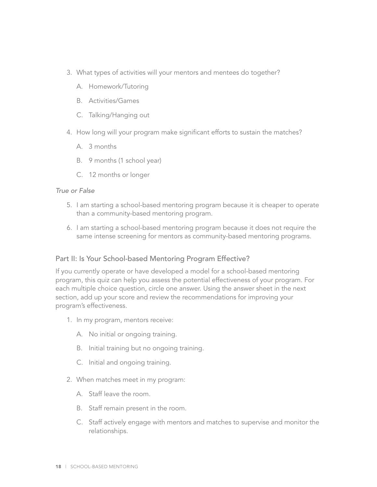- 3. What types of activities will your mentors and mentees do together?
	- A. Homework/Tutoring
	- B. Activities/Games
	- C. Talking/Hanging out
- 4. How long will your program make significant efforts to sustain the matches?
	- A. 3 months
	- B. 9 months (1 school year)
	- C. 12 months or longer

#### *True or False*

- 5. I am starting a school-based mentoring program because it is cheaper to operate than a community-based mentoring program.
- 6. I am starting a school-based mentoring program because it does not require the same intense screening for mentors as community-based mentoring programs.

## Part II: Is Your School-based Mentoring Program Effective?

If you currently operate or have developed a model for a school-based mentoring program, this quiz can help you assess the potential effectiveness of your program. For each multiple choice question, circle one answer. Using the answer sheet in the next section, add up your score and review the recommendations for improving your program's effectiveness.

- 1. In my program, mentors receive:
	- A. No initial or ongoing training.
	- B. Initial training but no ongoing training.
	- C. Initial and ongoing training.
- 2. When matches meet in my program:
	- A. Staff leave the room.
	- B. Staff remain present in the room.
	- C. Staff actively engage with mentors and matches to supervise and monitor the relationships.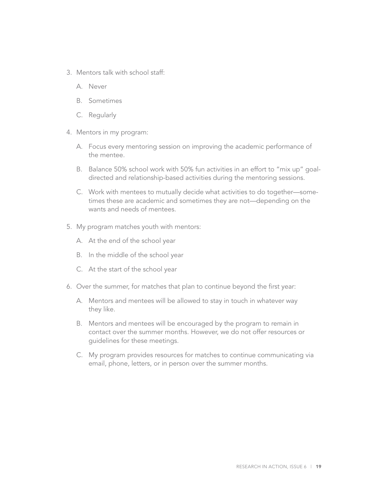- 3. Mentors talk with school staff:
	- A. Never
	- B. Sometimes
	- C. Regularly
- 4. Mentors in my program:
	- A. Focus every mentoring session on improving the academic performance of the mentee.
	- B. Balance 50% school work with 50% fun activities in an effort to "mix up" goaldirected and relationship-based activities during the mentoring sessions.
	- C. Work with mentees to mutually decide what activities to do together—sometimes these are academic and sometimes they are not—depending on the wants and needs of mentees.
- 5. My program matches youth with mentors:
	- A. At the end of the school year
	- B. In the middle of the school year
	- C. At the start of the school year
- 6. Over the summer, for matches that plan to continue beyond the first year:
	- A. Mentors and mentees will be allowed to stay in touch in whatever way they like.
	- B. Mentors and mentees will be encouraged by the program to remain in contact over the summer months. However, we do not offer resources or guidelines for these meetings.
	- C. My program provides resources for matches to continue communicating via email, phone, letters, or in person over the summer months.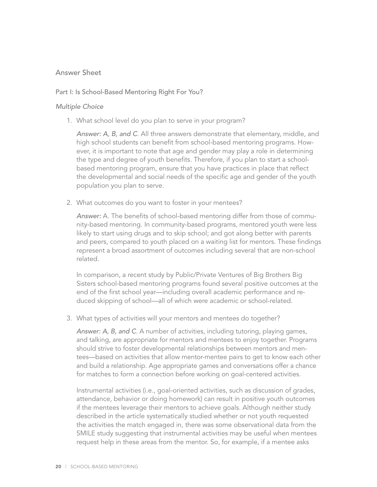### Answer Sheet

#### Part I: Is School-Based Mentoring Right For You?

#### *Multiple Choice*

1. What school level do you plan to serve in your program?

*Answer: A, B, and C*. All three answers demonstrate that elementary, middle, and high school students can benefit from school-based mentoring programs. However, it is important to note that age and gender may play a role in determining the type and degree of youth benefits. Therefore, if you plan to start a schoolbased mentoring program, ensure that you have practices in place that reflect the developmental and social needs of the specific age and gender of the youth population you plan to serve.

2. What outcomes do you want to foster in your mentees?

*Answer:* A. The benefits of school-based mentoring differ from those of community-based mentoring. In community-based programs, mentored youth were less likely to start using drugs and to skip school; and got along better with parents and peers, compared to youth placed on a waiting list for mentors. These findings represent a broad assortment of outcomes including several that are non-school related.

In comparison, a recent study by Public/Private Ventures of Big Brothers Big Sisters school-based mentoring programs found several positive outcomes at the end of the first school year—including overall academic performance and reduced skipping of school—all of which were academic or school-related.

3. What types of activities will your mentors and mentees do together?

*Answer: A, B, and C*. A number of activities, including tutoring, playing games, and talking, are appropriate for mentors and mentees to enjoy together. Programs should strive to foster developmental relationships between mentors and mentees—based on activities that allow mentor-mentee pairs to get to know each other and build a relationship. Age appropriate games and conversations offer a chance for matches to form a connection before working on goal-centered activities.

Instrumental activities (i.e., goal-oriented activities, such as discussion of grades, attendance, behavior or doing homework) can result in positive youth outcomes if the mentees leverage their mentors to achieve goals. Although neither study described in the article systematically studied whether or not youth requested the activities the match engaged in, there was some observational data from the SMILE study suggesting that instrumental activities may be useful when mentees request help in these areas from the mentor. So, for example, if a mentee asks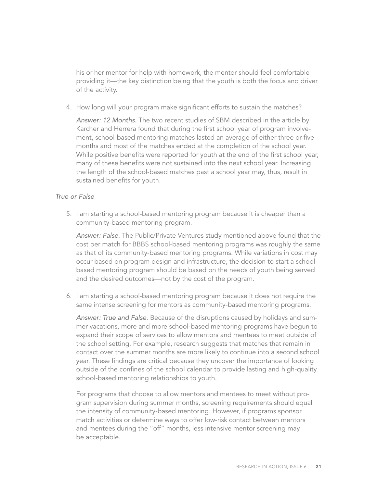his or her mentor for help with homework, the mentor should feel comfortable providing it—the key distinction being that the youth is both the focus and driver of the activity.

4. How long will your program make significant efforts to sustain the matches?

*Answer: 12 Months.* The two recent studies of SBM described in the article by Karcher and Herrera found that during the first school year of program involvement, school-based mentoring matches lasted an average of either three or five months and most of the matches ended at the completion of the school year. While positive benefits were reported for youth at the end of the first school year, many of these benefits were not sustained into the next school year. Increasing the length of the school-based matches past a school year may, thus, result in sustained benefits for youth.

#### *True or False*

5. I am starting a school-based mentoring program because it is cheaper than a community-based mentoring program.

*Answer: False.* The Public/Private Ventures study mentioned above found that the cost per match for BBBS school-based mentoring programs was roughly the same as that of its community-based mentoring programs. While variations in cost may occur based on program design and infrastructure, the decision to start a schoolbased mentoring program should be based on the needs of youth being served and the desired outcomes—not by the cost of the program.

6. I am starting a school-based mentoring program because it does not require the same intense screening for mentors as community-based mentoring programs.

*Answer: True and False*. Because of the disruptions caused by holidays and summer vacations, more and more school-based mentoring programs have begun to expand their scope of services to allow mentors and mentees to meet outside of the school setting. For example, research suggests that matches that remain in contact over the summer months are more likely to continue into a second school year. These findings are critical because they uncover the importance of looking outside of the confines of the school calendar to provide lasting and high-quality school-based mentoring relationships to youth.

For programs that choose to allow mentors and mentees to meet without program supervision during summer months, screening requirements should equal the intensity of community-based mentoring. However, if programs sponsor match activities or determine ways to offer low-risk contact between mentors and mentees during the "off" months, less intensive mentor screening may be acceptable.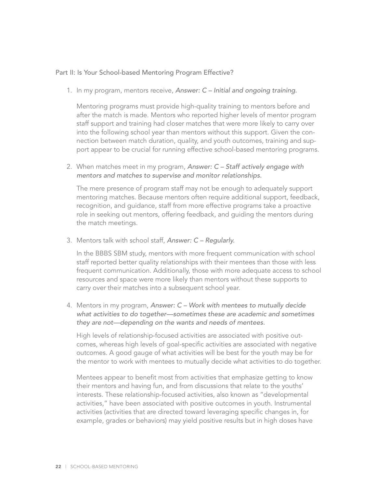#### Part II: Is Your School-based Mentoring Program Effective?

1. In my program, mentors receive, *Answer: C – Initial and ongoing training.*

Mentoring programs must provide high-quality training to mentors before and after the match is made. Mentors who reported higher levels of mentor program staff support and training had closer matches that were more likely to carry over into the following school year than mentors without this support. Given the connection between match duration, quality, and youth outcomes, training and support appear to be crucial for running effective school-based mentoring programs.

2. When matches meet in my program, *Answer: C – Staff actively engage with mentors and matches to supervise and monitor relationships.*

The mere presence of program staff may not be enough to adequately support mentoring matches. Because mentors often require additional support, feedback, recognition, and guidance, staff from more effective programs take a proactive role in seeking out mentors, offering feedback, and guiding the mentors during the match meetings.

3. Mentors talk with school staff, *Answer: C – Regularly.*

In the BBBS SBM study, mentors with more frequent communication with school staff reported better quality relationships with their mentees than those with less frequent communication. Additionally, those with more adequate access to school resources and space were more likely than mentors without these supports to carry over their matches into a subsequent school year.

4. Mentors in my program, *Answer: C – Work with mentees to mutually decide what activities to do together—sometimes these are academic and sometimes they are not—depending on the wants and needs of mentees.*

High levels of relationship-focused activities are associated with positive outcomes, whereas high levels of goal-specific activities are associated with negative outcomes. A good gauge of what activities will be best for the youth may be for the mentor to work with mentees to mutually decide what activities to do together.

Mentees appear to benefit most from activities that emphasize getting to know their mentors and having fun, and from discussions that relate to the youths' interests. These relationship-focused activities, also known as "developmental activities," have been associated with positive outcomes in youth. Instrumental activities (activities that are directed toward leveraging specific changes in, for example, grades or behaviors) may yield positive results but in high doses have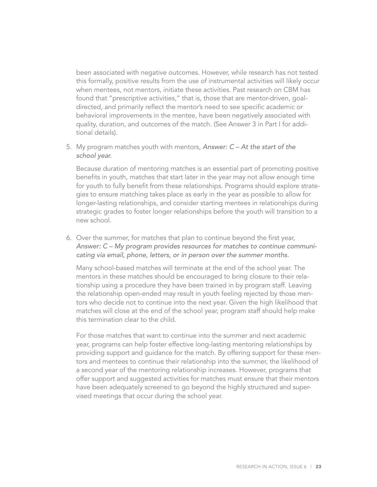been associated with negative outcomes. However, while research has not tested this formally, positive results from the use of instrumental activities will likely occur when mentees, not mentors, initiate these activities. Past research on CBM has found that "prescriptive activities," that is, those that are mentor-driven, goaldirected, and primarily reflect the mentor's need to see specific academic or behavioral improvements in the mentee, have been negatively associated with quality, duration, and outcomes of the match. (See Answer 3 in Part I for additional details).

5. My program matches youth with mentors, *Answer: C – At the start of the school year.*

Because duration of mentoring matches is an essential part of promoting positive benefits in youth, matches that start later in the year may not allow enough time for youth to fully benefit from these relationships. Programs should explore strategies to ensure matching takes place as early in the year as possible to allow for longer-lasting relationships, and consider starting mentees in relationships during strategic grades to foster longer relationships before the youth will transition to a new school.

6. Over the summer, for matches that plan to continue beyond the first year, *Answer: C – My program provides resources for matches to continue communicating via email, phone, letters, or in person over the summer months.* 

Many school-based matches will terminate at the end of the school year. The mentors in these matches should be encouraged to bring closure to their relationship using a procedure they have been trained in by program staff. Leaving the relationship open-ended may result in youth feeling rejected by those mentors who decide not to continue into the next year. Given the high likelihood that matches will close at the end of the school year, program staff should help make this termination clear to the child.

For those matches that want to continue into the summer and next academic year, programs can help foster effective long-lasting mentoring relationships by providing support and guidance for the match. By offering support for these mentors and mentees to continue their relationship into the summer, the likelihood of a second year of the mentoring relationship increases. However, programs that offer support and suggested activities for matches must ensure that their mentors have been adequately screened to go beyond the highly structured and supervised meetings that occur during the school year.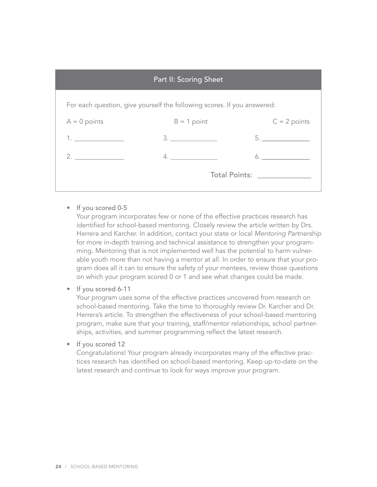| <b>Part II: Scoring Sheet</b>                                           |                                  |                |
|-------------------------------------------------------------------------|----------------------------------|----------------|
| For each question, give yourself the following scores. If you answered: |                                  |                |
| $A = 0$ points                                                          | $B = 1$ point                    | $C = 2$ points |
| 1. $\qquad \qquad$                                                      | 3.                               | 5.             |
| 2.                                                                      | 4.                               | 6.             |
|                                                                         | Total Points: __________________ |                |
|                                                                         |                                  |                |

• If you scored 0-5

Your program incorporates few or none of the effective practices research has identified for school-based mentoring. Closely review the article written by Drs. Herrera and Karcher. In addition, contact your state or local *Mentoring Partnership*  for more in-depth training and technical assistance to strengthen your programming. Mentoring that is not implemented well has the potential to harm vulnerable youth more than not having a mentor at all. In order to ensure that your program does all it can to ensure the safety of your mentees, review those questions on which your program scored 0 or 1 and see what changes could be made.

• If you scored 6-11

Your program uses some of the effective practices uncovered from research on school-based mentoring. Take the time to thoroughly review Dr. Karcher and Dr. Herrera's article. To strengthen the effectiveness of your school-based mentoring program, make sure that your training, staff/mentor relationships, school partnerships, activities, and summer programming reflect the latest research.

• If you scored 12

Congratulations! Your program already incorporates many of the effective practices research has identified on school-based mentoring. Keep up-to-date on the latest research and continue to look for ways improve your program.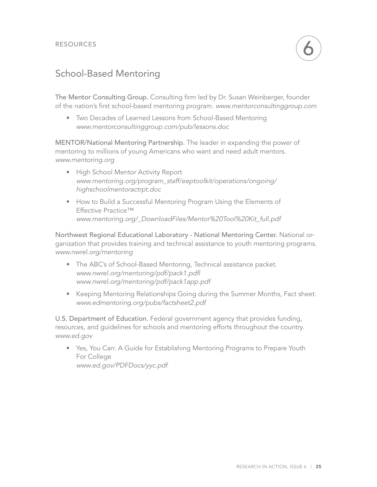## School-Based Mentoring

The Mentor Consulting Group. Consulting firm led by Dr. Susan Weinberger, founder of the nation's first school-based mentoring program. *www.mentorconsultinggroup.com* 

• Two Decades of Learned Lessons from School-Based Mentoring *www.mentorconsultinggroup.com/pub/lessons.doc*

MENTOR/National Mentoring Partnership. The leader in expanding the power of mentoring to millions of young Americans who want and need adult mentors. *www.mentoring.org*

- High School Mentor Activity Report *www.mentoring.org/program\_staff/eeptoolkit/operations/ongoing/ highschoolmentoractrpt.doc*
- How to Build a Successful Mentoring Program Using the Elements of Effective Practice™ *www.mentoring.org/\_DownloadFiles/Mentor%20Tool%20Kit\_full.pdf*

Northwest Regional Educational Laboratory - National Mentoring Center. National organization that provides training and technical assistance to youth mentoring programs. *www.nwrel.org/mentoring*

- The ABC's of School-Based Mentoring, Technical assistance packet. *www.nwrel.org/mentoring/pdf/pack1.pdf| www.nwrel.org/mentoring/pdf/pack1app.pdf*
- Keeping Mentoring Relationships Going during the Summer Months, Fact sheet. *www.edmentoring.org/pubs/factsheet2.pdf*

U.S. Department of Education. Federal government agency that provides funding, resources, and guidelines for schools and mentoring efforts throughout the country. *www.ed.gov*

• Yes, You Can: A Guide for Establishing Mentoring Programs to Prepare Youth For College *www.ed.gov/PDFDocs/yyc.pdf*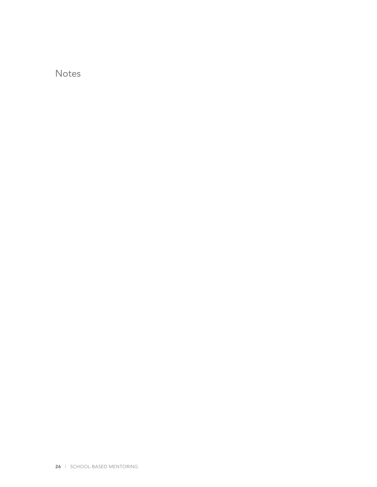Notes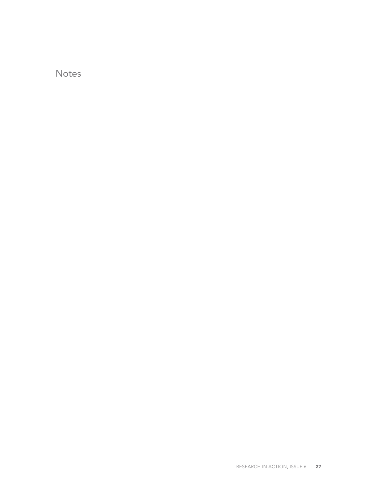Notes